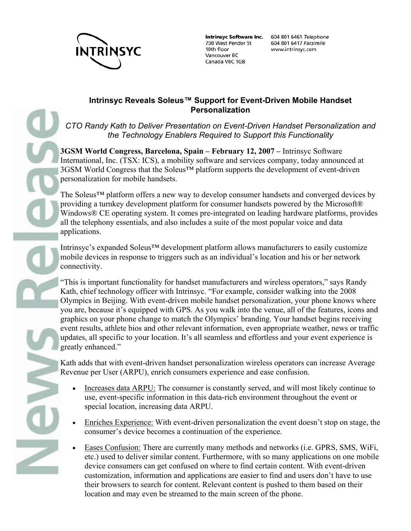

700 West Pender St 10th floor Vancouver BC Canada V6C 1G8

Intrinsyc Software Inc. 604 801 6461 Telephone 604 801 6417 Facsimile www.intrinsyc.com

#### **Intrinsyc Reveals Soleus™ Support for Event-Driven Mobile Handset Personalization**

*CTO Randy Kath to Deliver Presentation on Event-Driven Handset Personalization and the Technology Enablers Required to Support this Functionality*

**3GSM World Congress, Barcelona, Spain – February 12, 2007 –** Intrinsyc Software International, Inc. (TSX: ICS), a mobility software and services company, today announced at 3GSM World Congress that the Soleus™ platform supports the development of event-driven personalization for mobile handsets.

The Soleus™ platform offers a new way to develop consumer handsets and converged devices by providing a turnkey development platform for consumer handsets powered by the Microsoft® Windows® CE operating system. It comes pre-integrated on leading hardware platforms, provides all the telephony essentials, and also includes a suite of the most popular voice and data applications.

Intrinsyc's expanded Soleus™ development platform allows manufacturers to easily customize mobile devices in response to triggers such as an individual's location and his or her network connectivity.

"This is important functionality for handset manufacturers and wireless operators," says Randy Kath, chief technology officer with Intrinsyc. "For example, consider walking into the 2008 Olympics in Beijing. With event-driven mobile handset personalization, your phone knows where you are, because it's equipped with GPS. As you walk into the venue, all of the features, icons and graphics on your phone change to match the Olympics' branding. Your handset begins receiving event results, athlete bios and other relevant information, even appropriate weather, news or traffic updates, all specific to your location. It's all seamless and effortless and your event experience is greatly enhanced."

Kath adds that with event-driven handset personalization wireless operators can increase Average Revenue per User (ARPU), enrich consumers experience and ease confusion.

- Increases data ARPU: The consumer is constantly served, and will most likely continue to use, event-specific information in this data-rich environment throughout the event or special location, increasing data ARPU.
- Enriches Experience: With event-driven personalization the event doesn't stop on stage, the consumer's device becomes a continuation of the experience.
- Eases Confusion: There are currently many methods and networks (i.e. GPRS, SMS, WiFi, etc.) used to deliver similar content. Furthermore, with so many applications on one mobile device consumers can get confused on where to find certain content. With event-driven customization, information and applications are easier to find and users don't have to use their browsers to search for content. Relevant content is pushed to them based on their location and may even be streamed to the main screen of the phone.